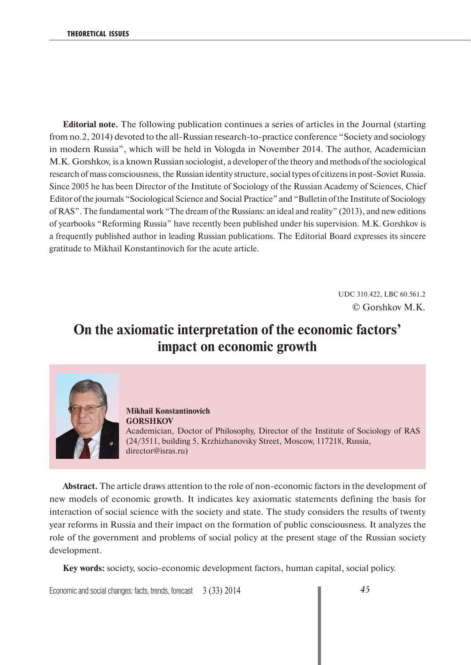**Editorial note.** The following publication continues a series of articles in the Journal (starting from no.2, 2014) devoted to the all-Russian research-to-practice conference "Society and sociology in modern Russia", which will be held in Vologda in November 2014. The author, Academician M.K. Gorshkov, is a known Russian sociologist, a developer of the theory and methods of the sociological research of mass consciousness, the Russian identity structure, social types of citizens in post-Soviet Russia. Since 2005 he has been Director of the Institute of Sociology of the Russian Academy of Sciences, Chief Editor of the journals "Sociological Science and Social Practice" and "Bulletin of the Institute of Sociology of RAS". The fundamental work "The dream of the Russians: an ideal and reality" (2013), and new editions of yearbooks "Reforming Russia" have recently been published under his supervision. M.K. Gorshkov is a frequently published author in leading Russian publications. The Editorial Board expresses its sincere gratitude to Mikhail Konstantinovich for the acute article.

> UDC 310.422, LBC 60.561.2 © Gorshkov М.К.

## **On the axiomatic interpretation of the economic factors' impact on economic growth**



**Mikhail Konstantinovich GORSHKOV** Academician, Doctor of Philosophy, Director of the Institute of Sociology of RAS (24/3511, building 5, Krzhizhanovsky Street, Moscow, 117218, Russia, director@isras.ru)

**Abstract.** The article draws attention to the role of non-economic factors in the development of new models of economic growth. It indicates key axiomatic statements defining the basis for interaction of social science with the society and state. The study considers the results of twenty year reforms in Russia and their impact on the formation of public consciousness. It analyzes the role of the government and problems of social policy at the present stage of the Russian society development.

**Key words:** society, socio-economic development factors, human capital, social policy.

Economic and social changes: facts, trends, forecast 3 (33) 2014 **45**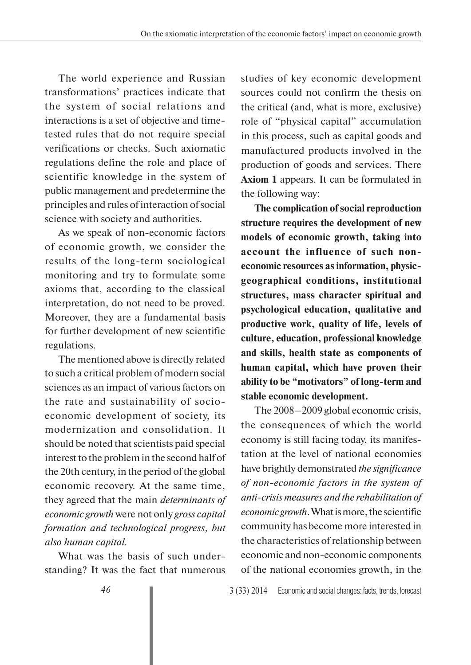The world experience and Russian transformations' practices indicate that the system of social relations and interactions is a set of objective and timetested rules that do not require special verifications or checks. Such axiomatic regulations define the role and place of scientific knowledge in the system of public management and predetermine the principles and rules of interaction of social science with society and authorities.

As we speak of non-economic factors of economic growth, we consider the results of the long-term sociological monitoring and try to formulate some axioms that, according to the classical interpretation, do not need to be proved. Moreover, they are a fundamental basis for further development of new scientific regulations.

The mentioned above is directly related to such a critical problem of modern social sciences as an impact of various factors on the rate and sustainability of socioeconomic development of society, its modernization and consolidation. It should be noted that scientists paid special interest to the problem in the second half of the 20th century, in the period of the global economic recovery. At the same time, they agreed that the main *determinants of economic growth* were not only *gross capital formation and technological progress, but also human capital.*

What was the basis of such understanding? It was the fact that numerous studies of key economic development sources could not confirm the thesis on the critical (and, what is more, exclusive) role of "physical capital" accumulation in this process, such as capital goods and manufactured products involved in the production of goods and services. There **Axiom 1** appears. It can be formulated in the following way:

**The complication of social reproduction structure requires the development of new models of economic growth, taking into account the influence of such noneconomic resources as information, physicgeographical conditions, institutional structures, mass character spiritual and psychological education, qualitative and productive work, quality of life, levels of culture, education, professional knowledge and skills, health state as components of human capital, which have proven their ability to be "motivators" of long-term and stable economic development.**

The 2008–2009 global economic crisis, the consequences of which the world economy is still facing today, its manifestation at the level of national economies have brightly demonstrated *the significance of non-economic factors in the system of anti-crisis measures and the rehabilitation of economic growth*. What is more, the scientific community has become more interested in the characteristics of relationship between economic and non-economic components of the national economies growth, in the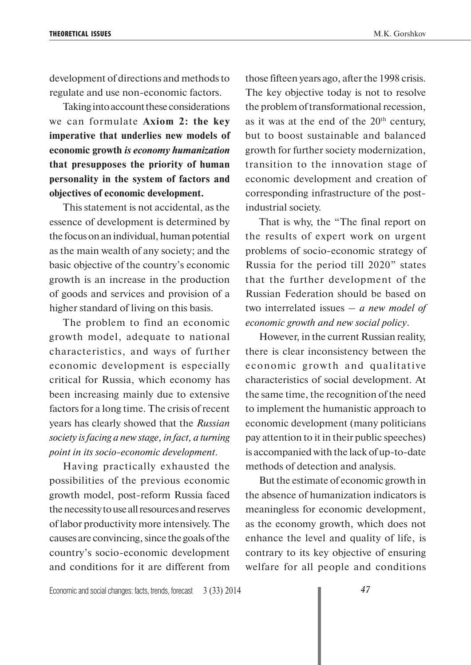development of directions and methods to regulate and use non-economic factors.

Taking into account these considerations we can formulate **Axiom 2: the key imperative that underlies new models of economic growth** *is economy humanization* **that presupposes the priority of human personality in the system of factors and objectives of economic development.** 

This statement is not accidental, as the essence of development is determined by the focus on an individual, human potential as the main wealth of any society; and the basic objective of the country's economic growth is an increase in the production of goods and services and provision of a higher standard of living on this basis.

The problem to find an economic growth model, adequate to national characteristics, and ways of further economic development is especially critical for Russia, which economy has been increasing mainly due to extensive factors for a long time. The crisis of recent years has clearly showed that the *Russian society is facing a new stage, in fact, a turning point in its socio-economic development*.

Having practically exhausted the possibilities of the previous economic growth model, post-reform Russia faced the necessity to use all resources and reserves of labor productivity more intensively. The causes are convincing, since the goals of the country's socio-economic development and conditions for it are different from

those fifteen years ago, after the 1998 crisis. The key objective today is not to resolve the problem of transformational recession, as it was at the end of the  $20<sup>th</sup>$  century, but to boost sustainable and balanced growth for further society modernization, transition to the innovation stage of economic development and creation of corresponding infrastructure of the postindustrial society.

That is why, the "The final report on the results of expert work on urgent problems of socio-economic strategy of Russia for the period till 2020" states that the further development of the Russian Federation should be based on two interrelated issues – *a new model of economic growth and new social policy*.

However, in the current Russian reality, there is clear inconsistency between the economic growth and qualitative characteristics of social development. At the same time, the recognition of the need to implement the humanistic approach to economic development (many politicians pay attention to it in their public speeches) is accompanied with the lack of up-to-date methods of detection and analysis.

But the estimate of economic growth in the absence of humanization indicators is meaningless for economic development, as the economy growth, which does not enhance the level and quality of life, is contrary to its key objective of ensuring welfare for all people and conditions

Economic and social changes: facts, trends, forecast 3 (33) 2014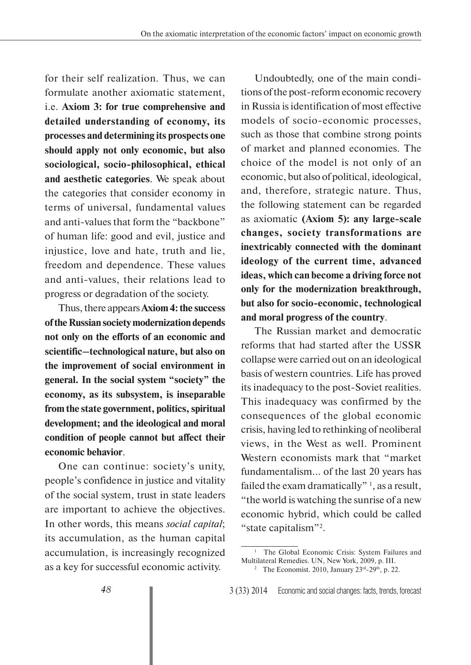for their self realization. Thus, we can formulate another axiomatic statement, i.e. **Axiom 3: for true comprehensive and detailed understanding of economy, its processes and determining its prospects one should apply not only economic, but also sociological, socio-philosophical, ethical and aesthetic categories**. We speak about the categories that consider economy in terms of universal, fundamental values and anti-values that form the "backbone" of human life: good and evil, justice and injustice, love and hate, truth and lie, freedom and dependence. These values and anti-values, their relations lead to progress or degradation of the society.

Thus, there appears **Axiom 4: the success of the Russian society modernization depends not only on the efforts of an economic and scientific–technological nature, but also on the improvement of social environment in general. In the social system "society" the economy, as its subsystem, is inseparable from the state government, politics, spiritual development; and the ideological and moral condition of people cannot but affect their economic behavior**.

One can continue: society's unity, people's confidence in justice and vitality of the social system, trust in state leaders are important to achieve the objectives. In other words, this means *social capital*; its accumulation, as the human capital accumulation, is increasingly recognized as a key for successful economic activity.

Undoubtedly, one of the main conditions of the post-reform economic recovery in Russia is identification of most effective models of socio-economic processes, such as those that combine strong points of market and planned economies. The choice of the model is not only of an economic, but also of political, ideological, and, therefore, strategic nature. Thus, the following statement can be regarded as axiomatic **(Axiom 5): any large-scale changes, society transformations are inextricably connected with the dominant ideology of the current time, advanced ideas, which can become a driving force not only for the modernization breakthrough, but also for socio-economic, technological and moral progress of the country**.

The Russian market and democratic reforms that had started after the USSR collapse were carried out on an ideological basis of western countries. Life has proved its inadequacy to the post-Soviet realities. This inadequacy was confirmed by the consequences of the global economic crisis, having led to rethinking of neoliberal views, in the West as well. Prominent Western economists mark that "market fundamentalism... of the last 20 years has failed the exam dramatically"  $\frac{1}{1}$ , as a result, "the world is watching the sunrise of a new economic hybrid, which could be called "state capitalism"2.

<sup>&</sup>lt;sup>1</sup> The Global Economic Crisis: System Failures and Multilateral Remedies. UN, New York, 2009, p. III.

<sup>&</sup>lt;sup>2</sup> The Economist. 2010, January  $23<sup>rd</sup>-29<sup>th</sup>$ , p. 22.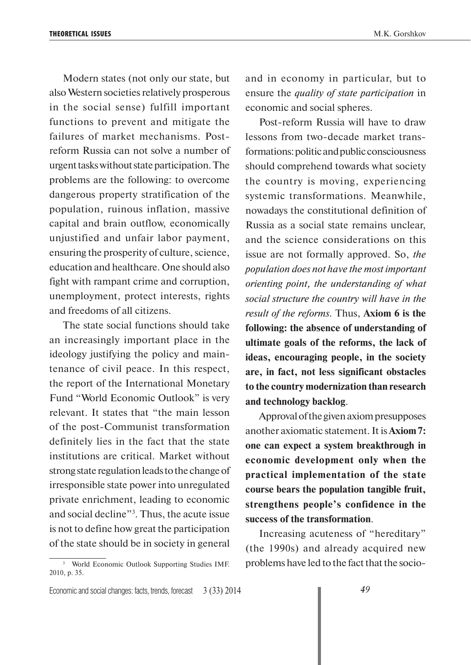Modern states (not only our state, but also Western societies relatively prosperous in the social sense) fulfill important functions to prevent and mitigate the failures of market mechanisms. Postreform Russia can not solve a number of urgent tasks without state participation. The problems are the following: to overcome dangerous property stratification of the population, ruinous inflation, massive capital and brain outflow, economically unjustified and unfair labor payment, ensuring the prosperity of culture, science, education and healthcare. One should also fight with rampant crime and corruption, unemployment, protect interests, rights and freedoms of all citizens.

The state social functions should take an increasingly important place in the ideology justifying the policy and maintenance of civil peace. In this respect, the report of the International Monetary Fund "World Economic Outlook" is very relevant. It states that "the main lesson of the post-Communist transformation definitely lies in the fact that the state institutions are critical. Market without strong state regulation leads to the change of irresponsible state power into unregulated private enrichment, leading to economic and social decline"3 . Thus, the acute issue is not to define how great the participation of the state should be in society in general

3 World Economic Outlook Supporting Studies IMF. 2010, p. 35.

and in economy in particular, but to ensure the *quality of state participation* in economic and social spheres.

Post-reform Russia will have to draw lessons from two-decade market transformations: politic and public consciousness should comprehend towards what society the country is moving, experiencing systemic transformations. Meanwhile, nowadays the constitutional definition of Russia as a social state remains unclear, and the science considerations on this issue are not formally approved. So, *the population does not have the most important orienting point, the understanding of what social structure the country will have in the result of the reforms.* Thus, **Axiom 6 is the following: the absence of understanding of ultimate goals of the reforms, the lack of ideas, encouraging people, in the society are, in fact, not less significant obstacles to the country modernization than research and technology backlog**.

Approval of the given axiom presupposes another axiomatic statement. It is **Axiom 7: one can expect a system breakthrough in economic development only when the practical implementation of the state course bears the population tangible fruit, strengthens people's confidence in the success of the transformation**.

Increasing acuteness of "hereditary" (the 1990s) and already acquired new problems have led to the fact that the socio-

Economic and social changes: facts, trends, forecast 3 (33) 2014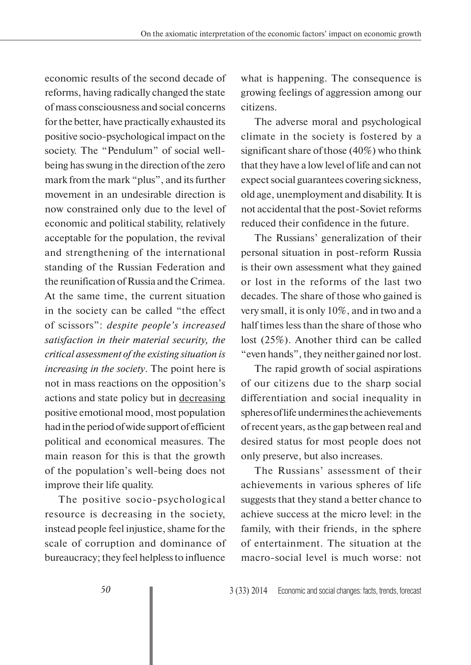economic results of the second decade of reforms, having radically changed the state of mass consciousness and social concerns for the better, have practically exhausted its positive socio-psychological impact on the society. The "Pendulum" of social wellbeing has swung in the direction of the zero mark from the mark "plus", and its further movement in an undesirable direction is now constrained only due to the level of economic and political stability, relatively acceptable for the population, the revival and strengthening of the international standing of the Russian Federation and the reunification of Russia and the Crimea. At the same time, the current situation in the society can be called "the effect of scissors": *despite people's increased satisfaction in their material security, the critical assessment of the existing situation is increasing in the society*. The point here is not in mass reactions on the opposition's actions and state policy but in decreasing positive emotional mood, most population had in the period of wide support of efficient political and economical measures. The main reason for this is that the growth of the population's well-being does not improve their life quality.

The positive socio-psychological resource is decreasing in the society, instead people feel injustice, shame for the scale of corruption and dominance of bureaucracy; they feel helpless to influence

what is happening. The consequence is growing feelings of aggression among our citizens.

The adverse moral and psychological climate in the society is fostered by a significant share of those (40%) who think that they have a low level of life and can not expect social guarantees covering sickness, old age, unemployment and disability. It is not accidental that the post-Soviet reforms reduced their confidence in the future.

The Russians' generalization of their personal situation in post-reform Russia is their own assessment what they gained or lost in the reforms of the last two decades. The share of those who gained is very small, it is only 10%, and in two and a half times less than the share of those who lost (25%). Another third can be called "even hands", they neither gained nor lost.

The rapid growth of social aspirations of our citizens due to the sharp social differentiation and social inequality in spheres of life undermines the achievements of recent years, as the gap between real and desired status for most people does not only preserve, but also increases.

The Russians' assessment of their achievements in various spheres of life suggests that they stand a better chance to achieve success at the micro level: in the family, with their friends, in the sphere of entertainment. The situation at the macro-social level is much worse: not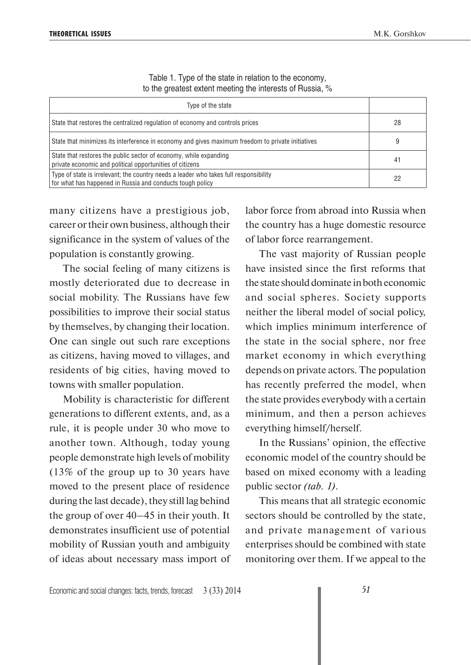| to the greatest extent meeting the interests of Flussia, 70                                                                                        |    |  |  |
|----------------------------------------------------------------------------------------------------------------------------------------------------|----|--|--|
| Type of the state                                                                                                                                  |    |  |  |
| State that restores the centralized regulation of economy and controls prices                                                                      | 28 |  |  |
| State that minimizes its interference in economy and gives maximum freedom to private initiatives                                                  | 9  |  |  |
| State that restores the public sector of economy, while expanding<br>private economic and political opportunities of citizens                      | 41 |  |  |
| Type of state is irrelevant; the country needs a leader who takes full responsibility<br>for what has happened in Russia and conducts tough policy | 22 |  |  |

Table 1. Type of the state in relation to the economy, to the greatest extent meeting the interests of Russia, %

many citizens have a prestigious job, career or their own business, although their significance in the system of values of the population is constantly growing.

The social feeling of many citizens is mostly deteriorated due to decrease in social mobility. The Russians have few possibilities to improve their social status by themselves, by changing their location. One can single out such rare exceptions as citizens, having moved to villages, and residents of big cities, having moved to towns with smaller population.

Mobility is characteristic for different generations to different extents, and, as a rule, it is people under 30 who move to another town. Although, today young people demonstrate high levels of mobility (13% of the group up to 30 years have moved to the present place of residence during the last decade), they still lag behind the group of over 40–45 in their youth. It demonstrates insufficient use of potential mobility of Russian youth and ambiguity of ideas about necessary mass import of labor force from abroad into Russia when the country has a huge domestic resource of labor force rearrangement.

The vast majority of Russian people have insisted since the first reforms that the state should dominate in both economic and social spheres. Society supports neither the liberal model of social policy, which implies minimum interference of the state in the social sphere, nor free market economy in which everything depends on private actors. The population has recently preferred the model, when the state provides everybody with a certain minimum, and then a person achieves everything himself/herself.

In the Russians' opinion, the effective economic model of the country should be based on mixed economy with a leading public sector *(tab. 1)*.

This means that all strategic economic sectors should be controlled by the state, and private management of various enterprises should be combined with state monitoring over them. If we appeal to the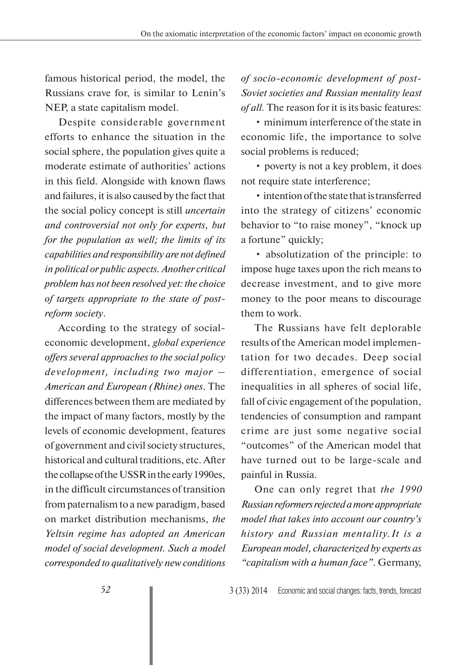famous historical period, the model, the Russians crave for, is similar to Lenin's NEP, a state capitalism model.

Despite considerable government efforts to enhance the situation in the social sphere, the population gives quite a moderate estimate of authorities' actions in this field. Alongside with known flaws and failures, it is also caused by the fact that the social policy concept is still *uncertain and controversial not only for experts, but for the population as well; the limits of its capabilities and responsibility are not defined in political or public aspects. Another critical problem has not been resolved yet: the choice of targets appropriate to the state of postreform society*.

According to the strategy of socialeconomic development, *global experience offers several approaches to the social policy development, including two major – American and European (Rhine) ones*. The differences between them are mediated by the impact of many factors, mostly by the levels of economic development, features of government and civil society structures, historical and cultural traditions, etc. After the collapse of the USSR in the early 1990es, in the difficult circumstances of transition from paternalism to a new paradigm, based on market distribution mechanisms, *the Yeltsin regime has adopted an American model of social development. Such a model corresponded to qualitatively new conditions* 

*of socio-economic development of post-Soviet societies and Russian mentality least of all.* The reason for it is its basic features:

• minimum interference of the state in economic life, the importance to solve social problems is reduced;

• poverty is not a key problem, it does not require state interference;

• intention of the state that is transferred into the strategy of citizens' economic behavior to "to raise money", "knock up a fortune" quickly;

• absolutization of the principle: to impose huge taxes upon the rich means to decrease investment, and to give more money to the poor means to discourage them to work.

The Russians have felt deplorable results of the American model implementation for two decades. Deep social differentiation, emergence of social inequalities in all spheres of social life, fall of civic engagement of the population, tendencies of consumption and rampant crime are just some negative social "outcomes" of the American model that have turned out to be large-scale and painful in Russia.

One can only regret that *the 1990 Russian reformers rejected a more appropriate model that takes into account our country's history and Russian mentality.It is a European model, characterized by experts as "capitalism with a human face"*. Germany,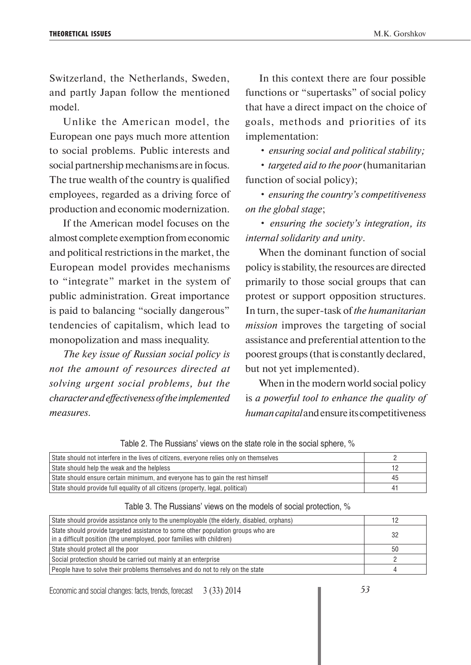Switzerland, the Netherlands, Sweden, and partly Japan follow the mentioned model.

Unlike the American model, the European one pays much more attention to social problems. Public interests and social partnership mechanisms are in focus. The true wealth of the country is qualified employees, regarded as a driving force of production and economic modernization.

If the American model focuses on the almost complete exemption from economic and political restrictions in the market, the European model provides mechanisms to "integrate" market in the system of public administration. Great importance is paid to balancing "socially dangerous" tendencies of capitalism, which lead to monopolization and mass inequality.

*The key issue of Russian social policy is not the amount of resources directed at solving urgent social problems, but the character and effectiveness of the implemented measures.* 

In this context there are four possible functions or "supertasks" of social policy that have a direct impact on the choice of goals, methods and priorities of its implementation:

• *ensuring social and political stability;*

• *targeted aid to the poor* (humanitarian function of social policy);

• *ensuring the country's competitiveness on the global stage*;

• *ensuring the society's integration, its internal solidarity and unity*.

When the dominant function of social policy is stability, the resources are directed primarily to those social groups that can protest or support opposition structures. In turn, the super-task of *the humanitarian mission* improves the targeting of social assistance and preferential attention to the poorest groups (that is constantly declared, but not yet implemented).

When in the modern world social policy is *a powerful tool to enhance the quality of human capital* and ensure its competitiveness

Table 2. The Russians' views on the state role in the social sphere, %

| State should not interfere in the lives of citizens, everyone relies only on themselves |    |
|-----------------------------------------------------------------------------------------|----|
| State should help the weak and the helpless                                             |    |
| State should ensure certain minimum, and everyone has to gain the rest himself          | 45 |
| State should provide full equality of all citizens (property, legal, political)         | 4. |

| Table 3. The Russians' views on the models of social protection, % |  |  |  |  |  |
|--------------------------------------------------------------------|--|--|--|--|--|
|--------------------------------------------------------------------|--|--|--|--|--|

| State should provide assistance only to the unemployable (the elderly, disabled, orphans)                                                                 |     |
|-----------------------------------------------------------------------------------------------------------------------------------------------------------|-----|
| State should provide targeted assistance to some other population groups who are<br>in a difficult position (the unemployed, poor families with children) | -32 |
| State should protect all the poor                                                                                                                         | 50  |
| Social protection should be carried out mainly at an enterprise                                                                                           |     |
| People have to solve their problems themselves and do not to rely on the state                                                                            |     |

Economic and social changes: facts, trends, forecast 3 (33) 2014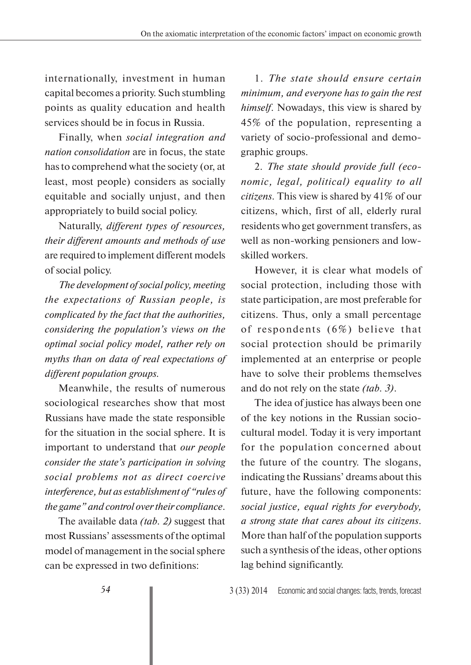internationally, investment in human capital becomes a priority. Such stumbling points as quality education and health services should be in focus in Russia.

Finally, when *social integration and nation consolidation* are in focus, the state has to comprehend what the society (or, at least, most people) considers as socially equitable and socially unjust, and then appropriately to build social policy.

Naturally, *different types of resources, their different amounts and methods of use*  are required to implement different models of social policy.

*The development of social policy, meeting the expectations of Russian people, is complicated by the fact that the authorities, considering the population's views on the optimal social policy model, rather rely on myths than on data of real expectations of different population groups.*

Meanwhile, the results of numerous sociological researches show that most Russians have made the state responsible for the situation in the social sphere. It is important to understand that *our people consider the state's participation in solving social problems not as direct coercive interference, but as establishment of "rules of the game" and control over their compliance*.

The available data *(tab. 2)* suggest that most Russians' assessments of the optimal model of management in the social sphere can be expressed in two definitions:

1. *The state should ensure certain minimum, and everyone has to gain the rest himself*. Nowadays, this view is shared by 45% of the population, representing a variety of socio-professional and demographic groups.

2. *The state should provide full (economic, legal, political) equality to all citizens*. This view is shared by 41% of our citizens, which, first of all, elderly rural residents who get government transfers, as well as non-working pensioners and lowskilled workers.

However, it is clear what models of social protection, including those with state participation, are most preferable for citizens. Thus, only a small percentage of respondents (6%) believe that social protection should be primarily implemented at an enterprise or people have to solve their problems themselves and do not rely on the state *(tab. 3)*.

The idea of justice has always been one of the key notions in the Russian sociocultural model. Today it is very important for the population concerned about the future of the country. The slogans, indicating the Russians' dreams about this future, have the following components: *social justice, equal rights for everybody, a strong state that cares about its citizens*. More than half of the population supports such a synthesis of the ideas, other options lag behind significantly.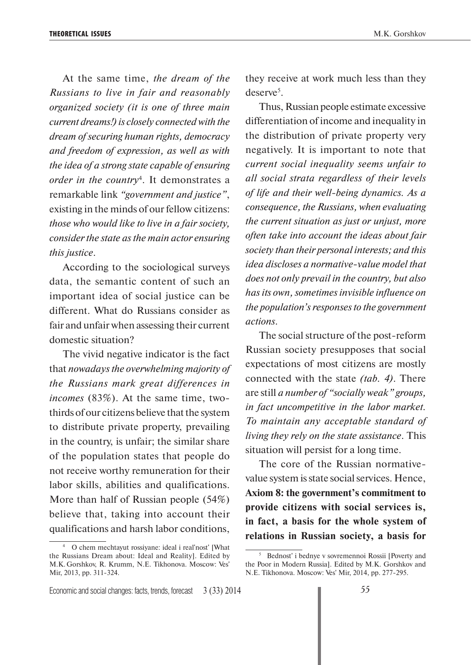At the same time, *the dream of the Russians to live in fair and reasonably organized society (it is one of three main current dreams!) is closely connected with the dream of securing human rights, democracy and freedom of expression, as well as with the idea of a strong state capable of ensuring order in the country*<sup>4</sup> . It demonstrates a remarkable link *"government and justice"*, existing in the minds of our fellow citizens: *those who would like to live in a fair society, consider the state as the main actor ensuring this justice*.

According to the sociological surveys data, the semantic content of such an important idea of social justice can be different. What do Russians consider as fair and unfair when assessing their current domestic situation?

The vivid negative indicator is the fact that *nowadays the overwhelming majority of the Russians mark great differences in incomes* (83%). At the same time, twothirds of our citizens believe that the system to distribute private property, prevailing in the country, is unfair; the similar share of the population states that people do not receive worthy remuneration for their labor skills, abilities and qualifications. More than half of Russian people (54%) believe that, taking into account their qualifications and harsh labor conditions,

they receive at work much less than they deserve<sup>5</sup>.

Thus, Russian people estimate excessive differentiation of income and inequality in the distribution of private property very negatively. It is important to note that *current social inequality seems unfair to all social strata regardless of their levels of life and their well-being dynamics. As a consequence, the Russians, when evaluating the current situation as just or unjust, more often take into account the ideas about fair society than their personal interests; and this idea discloses a normative-value model that does not only prevail in the country, but also has its own, sometimes invisible influence on the population's responses to the government actions*.

The social structure of the post-reform Russian society presupposes that social expectations of most citizens are mostly connected with the state *(tab. 4)*. There are still *a number of "socially weak" groups, in fact uncompetitive in the labor market. To maintain any acceptable standard of living they rely on the state assistance*. This situation will persist for a long time.

The core of the Russian normativevalue system is state social services. Hence, **Axiom 8: the government's commitment to provide citizens with social services is, in fact, a basis for the whole system of relations in Russian society, a basis for** 

<sup>4</sup> O chem mechtayut rossiyane: ideal i real'nost' [What the Russians Dream about: Ideal and Reality]. Edited by M.K. Gorshkov, R. Krumm, N.E. Tikhonova. Moscow: Ves' Mir, 2013, pp. 311-324.

<sup>5</sup> Bednost' i bednye v sovremennoi Rossii [Poverty and the Poor in Modern Russia]. Edited by M.K. Gorshkov and N.E. Tikhonova. Moscow: Ves' Mir, 2014, pp. 277-295.